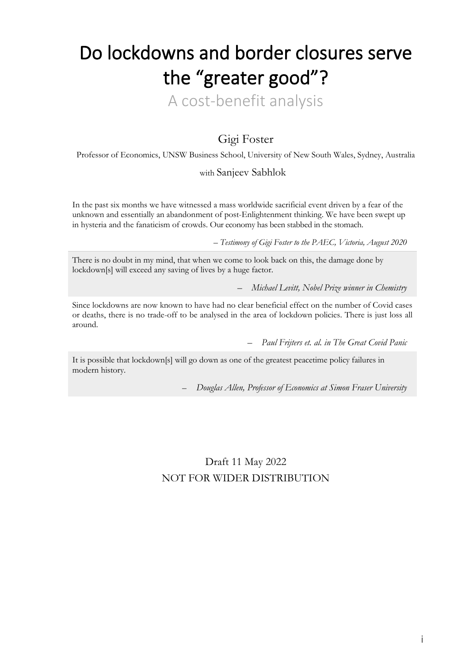# Do lockdowns and border closures serve the "greater good"?

A cost-benefit analysis

# Gigi Foster

Professor of Economics, UNSW Business School, University of New South Wales, Sydney, Australia

# with Sanjeev Sabhlok

In the past six months we have witnessed a mass worldwide sacrificial event driven by a fear of the unknown and essentially an abandonment of post-Enlightenment thinking. We have been swept up in hysteria and the fanaticism of crowds. Our economy has been stabbed in the stomach.

– *Testimony of Gigi Foster to the PAEC, Victoria, August 2020*

There is no doubt in my mind, that when we come to look back on this, the damage done by lockdown[s] will exceed any saving of lives by a huge factor.

– *Michael Levitt, Nobel Prize winner in Chemistry*

Since lockdowns are now known to have had no clear beneficial effect on the number of Covid cases or deaths, there is no trade-off to be analysed in the area of lockdown policies. There is just loss all around.

– *Paul Frijters et. al. in The Great Covid Panic* 

It is possible that lockdown[s] will go down as one of the greatest peacetime policy failures in modern history.

– *Douglas Allen, Professor of Economics at Simon Fraser University*

Draft 11 May 2022 NOT FOR WIDER DISTRIBUTION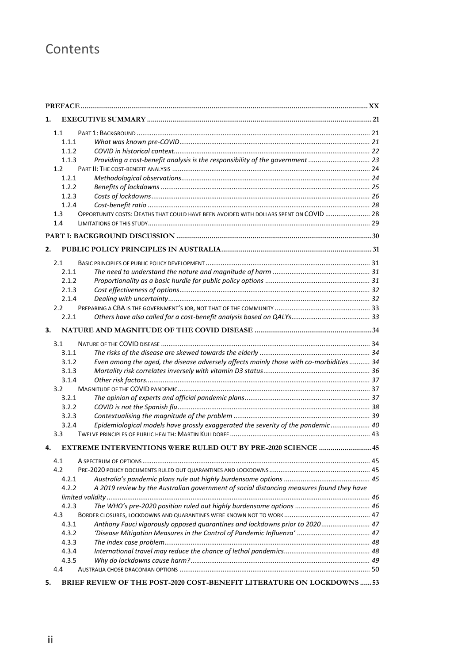# **Contents**

| 1. |               |                                                                                          |  |  |
|----|---------------|------------------------------------------------------------------------------------------|--|--|
|    | 1.1           |                                                                                          |  |  |
|    | 1.1.1         |                                                                                          |  |  |
|    | 1.1.2         |                                                                                          |  |  |
|    | 1.1.3         | Providing a cost-benefit analysis is the responsibility of the government  23            |  |  |
|    | $1.2^{\circ}$ |                                                                                          |  |  |
|    | 1.2.1         |                                                                                          |  |  |
|    | 1.2.2         |                                                                                          |  |  |
|    | 1.2.3         |                                                                                          |  |  |
|    | 1.2.4         |                                                                                          |  |  |
|    | 1.3           | OPPORTUNITY COSTS: DEATHS THAT COULD HAVE BEEN AVOIDED WITH DOLLARS SPENT ON COVID  28   |  |  |
|    | 1.4           |                                                                                          |  |  |
|    |               |                                                                                          |  |  |
| 2. |               |                                                                                          |  |  |
|    |               |                                                                                          |  |  |
|    | 2.1           |                                                                                          |  |  |
|    | 2.1.1         |                                                                                          |  |  |
|    | 2.1.2         |                                                                                          |  |  |
|    | 2.1.3         |                                                                                          |  |  |
|    | 2.1.4         |                                                                                          |  |  |
|    | 2.2           |                                                                                          |  |  |
|    | 2.2.1         |                                                                                          |  |  |
| 3. |               |                                                                                          |  |  |
|    | 3.1           |                                                                                          |  |  |
|    | 3.1.1         |                                                                                          |  |  |
|    | 3.1.2         | Even among the aged, the disease adversely affects mainly those with co-morbidities 34   |  |  |
|    | 3.1.3         |                                                                                          |  |  |
|    | 3.1.4         |                                                                                          |  |  |
|    | 3.2           |                                                                                          |  |  |
|    | 3.2.1         |                                                                                          |  |  |
|    | 3.2.2         |                                                                                          |  |  |
|    | 3.2.3         |                                                                                          |  |  |
|    | 3.2.4         | Epidemiological models have grossly exaggerated the severity of the pandemic 40          |  |  |
|    | 3.3           |                                                                                          |  |  |
|    |               |                                                                                          |  |  |
| 4. |               | EXTREME INTERVENTIONS WERE RULED OUT BY PRE-2020 SCIENCE  45                             |  |  |
|    | 4.1           |                                                                                          |  |  |
|    | 4.2           |                                                                                          |  |  |
|    | 4.2.1         |                                                                                          |  |  |
|    | 4.2.2         | A 2019 review by the Australian government of social distancing measures found they have |  |  |
|    |               |                                                                                          |  |  |
|    | 4.2.3         |                                                                                          |  |  |
|    | 4.3           |                                                                                          |  |  |
|    | 4.3.1         | Anthony Fauci vigorously opposed quarantines and lockdowns prior to 2020 47              |  |  |
|    | 4.3.2         |                                                                                          |  |  |
|    | 4.3.3         |                                                                                          |  |  |
|    | 4.3.4         |                                                                                          |  |  |
|    | 4.3.5         |                                                                                          |  |  |
|    | 4.4           |                                                                                          |  |  |
| 5. |               | BRIEF REVIEW OF THE POST-2020 COST-BENEFIT LITERATURE ON LOCKDOWNS  53                   |  |  |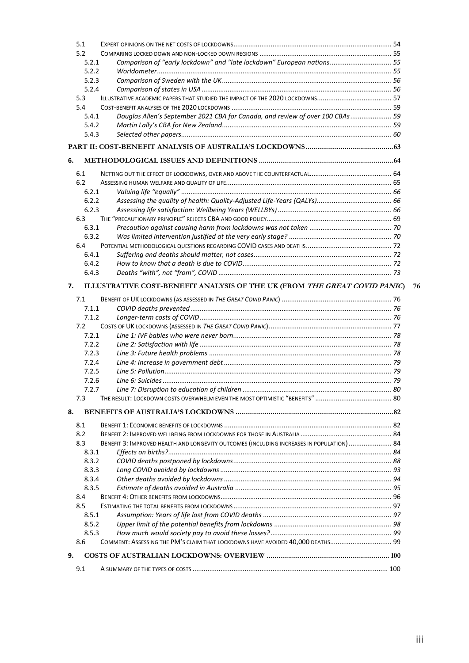|    | 5.1            |                                                                                           |    |
|----|----------------|-------------------------------------------------------------------------------------------|----|
|    | 5.2            |                                                                                           |    |
|    | 5.2.1          | Comparison of "early lockdown" and "late lockdown" European nations 55                    |    |
|    | 5.2.2          |                                                                                           |    |
|    | 5.2.3          |                                                                                           |    |
|    | 5.2.4          |                                                                                           |    |
|    | 5.3            |                                                                                           |    |
|    | 5.4            |                                                                                           |    |
|    | 5.4.1          | Douglas Allen's September 2021 CBA for Canada, and review of over 100 CBAs  59            |    |
|    | 5.4.2          |                                                                                           |    |
|    | 5.4.3          |                                                                                           |    |
|    |                |                                                                                           |    |
| 6. |                |                                                                                           |    |
|    | 6.1            |                                                                                           |    |
|    | 6.2            |                                                                                           |    |
|    | 6.2.1          |                                                                                           |    |
|    | 6.2.2          |                                                                                           |    |
|    | 6.2.3          |                                                                                           |    |
|    | 6.3            |                                                                                           |    |
|    | 6.3.1          |                                                                                           |    |
|    | 6.3.2          |                                                                                           |    |
|    | 6.4            |                                                                                           |    |
|    | 6.4.1          |                                                                                           |    |
|    | 6.4.2          |                                                                                           |    |
|    | 6.4.3          |                                                                                           |    |
| 7. |                | ILLUSTRATIVE COST-BENEFIT ANALYSIS OF THE UK (FROM THE GREAT COVID PANIC)                 | 76 |
|    |                |                                                                                           |    |
|    | 7.1<br>7.1.1   |                                                                                           |    |
|    | 7.1.2          |                                                                                           |    |
|    | 7.2            |                                                                                           |    |
|    | 7.2.1          |                                                                                           |    |
|    | 7.2.2          |                                                                                           |    |
|    | 7.2.3          |                                                                                           |    |
|    | 7.2.4          |                                                                                           |    |
|    | 7.2.5          |                                                                                           |    |
|    |                |                                                                                           |    |
|    | 7.2.6<br>7.2.7 |                                                                                           |    |
|    | 7.3            |                                                                                           |    |
|    |                |                                                                                           |    |
| 8. |                |                                                                                           |    |
|    | 8.1            |                                                                                           |    |
|    | 8.2            |                                                                                           |    |
|    | 8.3            | BENEFIT 3: IMPROVED HEALTH AND LONGEVITY OUTCOMES (INCLUDING INCREASES IN POPULATION)  84 |    |
|    | 8.3.1          |                                                                                           |    |
|    | 8.3.2          |                                                                                           |    |
|    | 8.3.3          |                                                                                           |    |
|    | 8.3.4          |                                                                                           |    |
|    | 8.3.5          |                                                                                           |    |
|    | 8.4            |                                                                                           |    |
|    | 8.5            |                                                                                           |    |
|    | 8.5.1          |                                                                                           |    |
|    | 8.5.2          |                                                                                           |    |
|    | 8.5.3          |                                                                                           |    |
|    | 8.6            | COMMENT: ASSESSING THE PM'S CLAIM THAT LOCKDOWNS HAVE AVOIDED 40,000 DEATHS 99            |    |
|    |                |                                                                                           |    |
| 9. |                |                                                                                           |    |
|    | 9.1            |                                                                                           |    |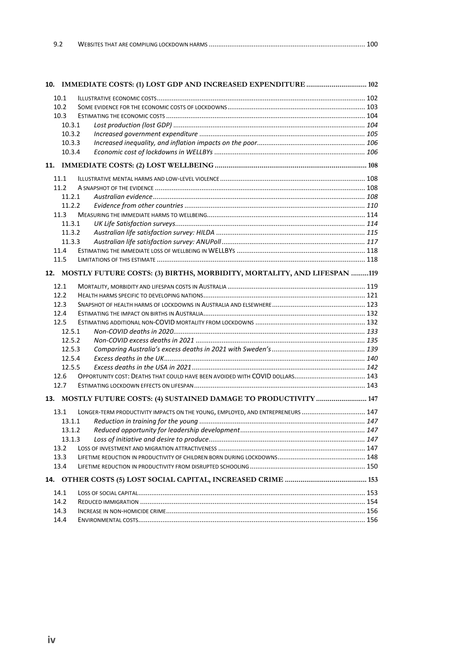| 9.2 |  |  |  |
|-----|--|--|--|
|-----|--|--|--|

|        | 10. IMMEDIATE COSTS: (1) LOST GDP AND INCREASED EXPENDITURE  102                |  |  |  |
|--------|---------------------------------------------------------------------------------|--|--|--|
| 10.1   |                                                                                 |  |  |  |
| 10.2   |                                                                                 |  |  |  |
| 10.3   |                                                                                 |  |  |  |
| 10.3.1 |                                                                                 |  |  |  |
| 10.3.2 |                                                                                 |  |  |  |
| 10.3.3 |                                                                                 |  |  |  |
| 10.3.4 |                                                                                 |  |  |  |
|        |                                                                                 |  |  |  |
| 11.1   |                                                                                 |  |  |  |
| 11.2   |                                                                                 |  |  |  |
| 11.2.1 |                                                                                 |  |  |  |
| 11.2.2 |                                                                                 |  |  |  |
| 11.3   |                                                                                 |  |  |  |
| 11.3.1 |                                                                                 |  |  |  |
| 11.3.2 |                                                                                 |  |  |  |
| 11.3.3 |                                                                                 |  |  |  |
| 11.4   |                                                                                 |  |  |  |
| 11.5   |                                                                                 |  |  |  |
|        | 12. MOSTLY FUTURE COSTS: (3) BIRTHS, MORBIDITY, MORTALITY, AND LIFESPAN 119     |  |  |  |
| 12.1   |                                                                                 |  |  |  |
| 12.2   |                                                                                 |  |  |  |
| 12.3   |                                                                                 |  |  |  |
| 12.4   |                                                                                 |  |  |  |
| 12.5   |                                                                                 |  |  |  |
| 12.5.1 |                                                                                 |  |  |  |
| 12.5.2 |                                                                                 |  |  |  |
| 12.5.3 |                                                                                 |  |  |  |
| 12.5.4 |                                                                                 |  |  |  |
| 12.5.5 |                                                                                 |  |  |  |
| 12.6   |                                                                                 |  |  |  |
| 12.7   |                                                                                 |  |  |  |
|        | 13. MOSTLY FUTURE COSTS: (4) SUSTAINED DAMAGE TO PRODUCTIVITY  147              |  |  |  |
| 13.1   | LONGER-TERM PRODUCTIVITY IMPACTS ON THE YOUNG, EMPLOYED, AND ENTREPRENEURS  147 |  |  |  |
| 13.1.1 |                                                                                 |  |  |  |
| 13.1.2 |                                                                                 |  |  |  |
| 13.1.3 |                                                                                 |  |  |  |
| 13.2   |                                                                                 |  |  |  |
| 13.3   |                                                                                 |  |  |  |
| 13.4   |                                                                                 |  |  |  |
|        |                                                                                 |  |  |  |
| 14.1   |                                                                                 |  |  |  |
| 14.2   |                                                                                 |  |  |  |
| 14.3   |                                                                                 |  |  |  |
| 14.4   |                                                                                 |  |  |  |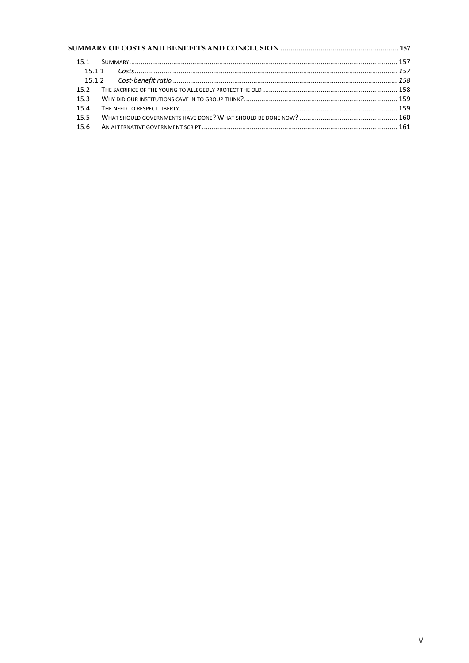| 151  |  |
|------|--|
|      |  |
|      |  |
|      |  |
| 15.3 |  |
| 15.4 |  |
| 15.5 |  |
| 15.6 |  |
|      |  |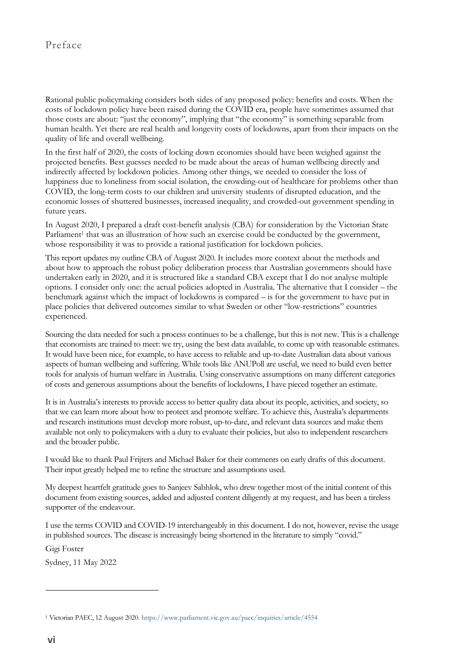# Preface

Rational public policymaking considers both sides of any proposed policy: benefits and costs. When the costs of lockdown policy have been raised during the COVID era, people have sometimes assumed that those costs are about: "just the economy", implying that "the economy" is something separable from human health. Yet there are real health and longevity costs of lockdowns, apart from their impacts on the quality of life and overall wellbeing.

In the first half of 2020, the costs of locking down economies should have been weighed against the projected benefits. Best guesses needed to be made about the areas of human wellbeing directly and indirectly affected by lockdown policies. Among other things, we needed to consider the loss of happiness due to loneliness from social isolation, the crowding-out of healthcare for problems other than COVID, the long-term costs to our children and university students of disrupted education, and the economic losses of shuttered businesses, increased inequality, and crowded-out government spending in future years.

In August 2020, I prepared a draft cost-benefit analysis (CBA) for consideration by the Victorian State Parliament<sup>1</sup> that was an illustration of how such an exercise could be conducted by the government, whose responsibility it was to provide a rational justification for lockdown policies.

This report updates my outline CBA of August 2020. It includes more context about the methods and about how to approach the robust policy deliberation process that Australian governments should have undertaken early in 2020, and it is structured like a standard CBA except that I do not analyse multiple options. I consider only one: the actual policies adopted in Australia. The alternative that I consider – the benchmark against which the impact of lockdowns is compared – is for the government to have put in place policies that delivered outcomes similar to what Sweden or other "low-restrictions" countries experienced.

Sourcing the data needed for such a process continues to be a challenge, but this is not new. This is a challenge that economists are trained to meet: we try, using the best data available, to come up with reasonable estimates. It would have been nice, for example, to have access to reliable and up-to-date Australian data about various aspects of human wellbeing and suffering. While tools like ANUPoll are useful, we need to build even better tools for analysis of human welfare in Australia. Using conservative assumptions on many different categories of costs and generous assumptions about the benefits of lockdowns, I have pieced together an estimate.

It is in Australia's interests to provide access to better quality data about its people, activities, and society, so that we can learn more about how to protect and promote welfare. To achieve this, Australia's departments and research institutions must develop more robust, up-to-date, and relevant data sources and make them available not only to policymakers with a duty to evaluate their policies, but also to independent researchers and the broader public.

I would like to thank Paul Frijters and Michael Baker for their comments on early drafts of this document. Their input greatly helped me to refine the structure and assumptions used.

My deepest heartfelt gratitude goes to Sanjeev Sabhlok, who drew together most of the initial content of this document from existing sources, added and adjusted content diligently at my request, and has been a tireless supporter of the endeavour.

I use the terms COVID and COVID-19 interchangeably in this document. I do not, however, revise the usage in published sources. The disease is increasingly being shortened in the literature to simply "covid."

Gigi Foster

Sydney, 11 May 2022

<sup>1</sup> Victorian PAEC, 12 August 2020.<https://www.parliament.vic.gov.au/paec/inquiries/article/4554>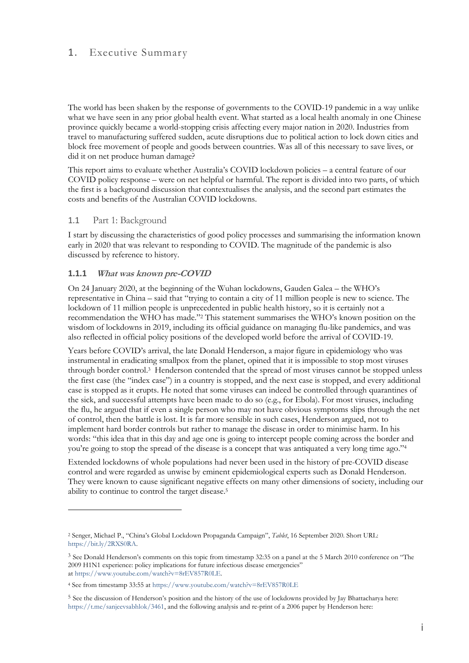# 1. Executive Summary

The world has been shaken by the response of governments to the COVID-19 pandemic in a way unlike what we have seen in any prior global health event. What started as a local health anomaly in one Chinese province quickly became a world-stopping crisis affecting every major nation in 2020. Industries from travel to manufacturing suffered sudden, acute disruptions due to political action to lock down cities and block free movement of people and goods between countries. Was all of this necessary to save lives, or did it on net produce human damage?

This report aims to evaluate whether Australia's COVID lockdown policies – a central feature of our COVID policy response – were on net helpful or harmful. The report is divided into two parts, of which the first is a background discussion that contextualises the analysis, and the second part estimates the costs and benefits of the Australian COVID lockdowns.

#### 1.1 Part 1: Background

I start by discussing the characteristics of good policy processes and summarising the information known early in 2020 that was relevant to responding to COVID. The magnitude of the pandemic is also discussed by reference to history.

#### **1.1.1 What was known pre-COVID**

On 24 January 2020, at the beginning of the Wuhan lockdowns, Gauden Galea – the WHO's representative in China – said that "trying to contain a city of 11 million people is new to science. The lockdown of 11 million people is unprecedented in public health history, so it is certainly not a recommendation the WHO has made." <sup>2</sup> This statement summarises the WHO's known position on the wisdom of lockdowns in 2019, including its official guidance on managing flu-like pandemics, and was also reflected in official policy positions of the developed world before the arrival of COVID-19.

Years before COVID's arrival, the late Donald Henderson, a major figure in epidemiology who was instrumental in eradicating smallpox from the planet, opined that it is impossible to stop most viruses through border control.<sup>3</sup> Henderson contended that the spread of most viruses cannot be stopped unless the first case (the "index case") in a country is stopped, and the next case is stopped, and every additional case is stopped as it erupts. He noted that some viruses can indeed be controlled through quarantines of the sick, and successful attempts have been made to do so (e.g., for Ebola). For most viruses, including the flu, he argued that if even a single person who may not have obvious symptoms slips through the net of control, then the battle is lost. It is far more sensible in such cases, Henderson argued, not to implement hard border controls but rather to manage the disease in order to minimise harm. In his words: "this idea that in this day and age one is going to intercept people coming across the border and you're going to stop the spread of the disease is a concept that was antiquated a very long time ago." 4

Extended lockdowns of whole populations had never been used in the history of pre-COVID disease control and were regarded as unwise by eminent epidemiological experts such as Donald Henderson. They were known to cause significant negative effects on many other dimensions of society, including our ability to continue to control the target disease. 5

<sup>2</sup> Senger, Michael P., "China's Global Lockdown Propaganda Campaign", *Tablet*, 16 September 2020. Short URL: [https://bit.ly/2RXS0RA.](https://bit.ly/2RXS0RA)

<sup>3</sup> See Donald Henderson's comments on this topic from timestamp 32:35 on a panel at the 5 March 2010 conference on "The 2009 H1N1 experience: policy implications for future infectious disease emergencies" at [https://www.youtube.com/watch?v=8rEV857R0LE.](https://www.youtube.com/watch?v=8rEV857R0LE)

<sup>4</sup> See from timestamp 33:55 at <https://www.youtube.com/watch?v=8rEV857R0LE>

<sup>5</sup> See the discussion of Henderson's position and the history of the use of lockdowns provided by Jay Bhattacharya here: [https://t.me/sanjeevsabhlok/3461,](https://t.me/sanjeevsabhlok/3461) and the following analysis and re-print of a 2006 paper by Henderson here: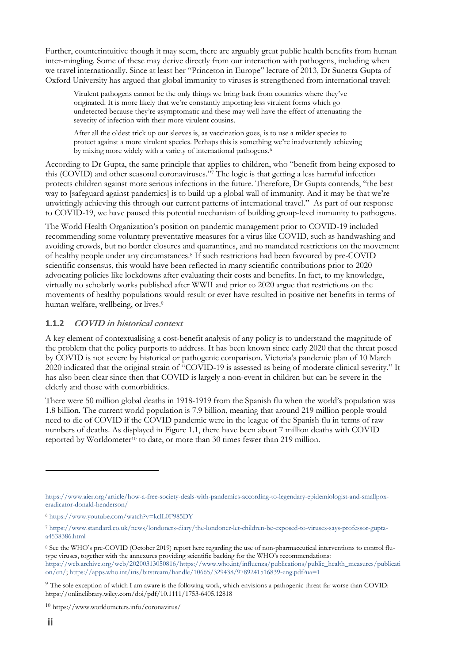Further, counterintuitive though it may seem, there are arguably great public health benefits from human inter-mingling. Some of these may derive directly from our interaction with pathogens, including when we travel internationally. Since at least her "Princeton in Europe" lecture of 2013, Dr Sunetra Gupta of Oxford University has argued that global immunity to viruses is strengthened from international travel:

Virulent pathogens cannot be the only things we bring back from countries where they've originated. It is more likely that we're constantly importing less virulent forms which go undetected because they're asymptomatic and these may well have the effect of attenuating the severity of infection with their more virulent cousins.

After all the oldest trick up our sleeves is, as vaccination goes, is to use a milder species to protect against a more virulent species. Perhaps this is something we're inadvertently achieving by mixing more widely with a variety of international pathogens.<sup>6</sup>

According to Dr Gupta, the same principle that applies to children, who "benefit from being exposed to this (COVID) and other seasonal coronaviruses." <sup>7</sup> The logic is that getting a less harmful infection protects children against more serious infections in the future. Therefore, Dr Gupta contends, "the best way to [safeguard against pandemics] is to build up a global wall of immunity. And it may be that we're unwittingly achieving this through our current patterns of international travel." As part of our response to COVID-19, we have paused this potential mechanism of building group-level immunity to pathogens.

The World Health Organization's position on pandemic management prior to COVID-19 included recommending some voluntary preventative measures for a virus like COVID, such as handwashing and avoiding crowds, but no border closures and quarantines, and no mandated restrictions on the movement of healthy people under any circumstances.<sup>8</sup> If such restrictions had been favoured by pre-COVID scientific consensus, this would have been reflected in many scientific contributions prior to 2020 advocating policies like lockdowns after evaluating their costs and benefits. In fact, to my knowledge, virtually no scholarly works published after WWII and prior to 2020 argue that restrictions on the movements of healthy populations would result or ever have resulted in positive net benefits in terms of human welfare, wellbeing, or lives. 9

#### **1.1.2 COVID in historical context**

A key element of contextualising a cost-benefit analysis of any policy is to understand the magnitude of the problem that the policy purports to address. It has been known since early 2020 that the threat posed by COVID is not severe by historical or pathogenic comparison. Victoria's pandemic plan of 10 March 2020 indicated that the original strain of "COVID-19 is assessed as being of moderate clinical severity." It has also been clear since then that COVID is largely a non-event in children but can be severe in the elderly and those with comorbidities.

There were 50 million global deaths in 1918-1919 from the Spanish flu when the world's population was 1.8 billion. The current world population is 7.9 billion, meaning that around 219 million people would need to die of COVID if the COVID pandemic were in the league of the Spanish flu in terms of raw numbers of deaths. As displayed in Figure 1.1, there have been about 7 million deaths with COVID reported by Worldometer<sup>10</sup> to date, or more than 30 times fewer than 219 million.

[https://www.aier.org/article/how-a-free-society-deals-with-pandemics-according-to-legendary-epidemiologist-and-smallpox](https://www.aier.org/article/how-a-free-society-deals-with-pandemics-according-to-legendary-epidemiologist-and-smallpox-eradicator-donald-henderson/)[eradicator-donald-henderson/](https://www.aier.org/article/how-a-free-society-deals-with-pandemics-according-to-legendary-epidemiologist-and-smallpox-eradicator-donald-henderson/)

<sup>6</sup> <https://www.youtube.com/watch?v=kclL0F985DY>

<sup>7</sup> [https://www.standard.co.uk/news/londoners-diary/the-londoner-let-children-be-exposed-to-viruses-says-professor-gupta](https://www.standard.co.uk/news/londoners-diary/the-londoner-let-children-be-exposed-to-viruses-says-professor-gupta-a4538386.html)[a4538386.html](https://www.standard.co.uk/news/londoners-diary/the-londoner-let-children-be-exposed-to-viruses-says-professor-gupta-a4538386.html)

<sup>8</sup> See the WHO's pre-COVID (October 2019) report here regarding the use of non-pharmaceutical interventions to control flutype viruses, together with the annexures providing scientific backing for the WHO's recommendations: [https://web.archive.org/web/20200313050816/https://www.who.int/influenza/publications/public\\_health\\_measures/publicati](https://web.archive.org/web/20200313050816/https:/www.who.int/influenza/publications/public_health_measures/publication/en/) [on/en/;](https://web.archive.org/web/20200313050816/https:/www.who.int/influenza/publications/public_health_measures/publication/en/)<https://apps.who.int/iris/bitstream/handle/10665/329438/9789241516839-eng.pdf?ua=1>

<sup>9</sup> The sole exception of which I am aware is the following work, which envisions a pathogenic threat far worse than COVID: https://onlinelibrary.wiley.com/doi/pdf/10.1111/1753-6405.12818

<sup>10</sup> https://www.worldometers.info/coronavirus/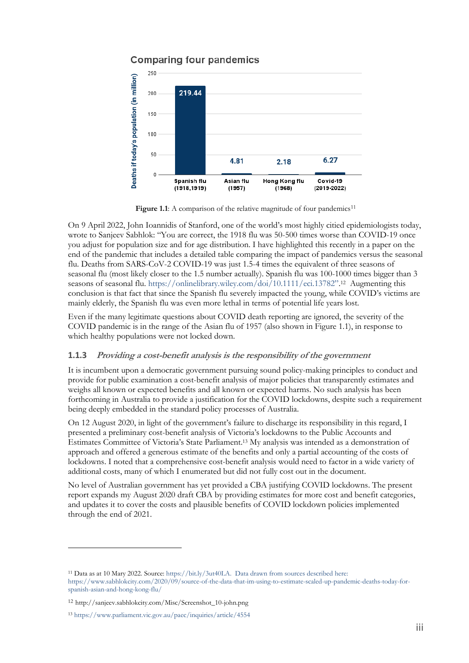# **Comparing four pandemics**



Figure 1.1: A comparison of the relative magnitude of four pandemics<sup>11</sup>

On 9 April 2022, John Ioannidis of Stanford, one of the world's most highly citied epidemiologists today, wrote to Sanjeev Sabhlok: "You are correct, the 1918 flu was 50-500 times worse than COVID-19 once you adjust for population size and for age distribution. I have highlighted this recently in a paper on the end of the pandemic that includes a detailed table comparing the impact of pandemics versus the seasonal flu. Deaths from SARS-CoV-2 COVID-19 was just 1.5-4 times the equivalent of three seasons of seasonal flu (most likely closer to the 1.5 number actually). Spanish flu was 100-1000 times bigger than 3 seasons of seasonal flu. [https://onlinelibrary.wiley.com/doi/10.1111/eci.13782"](https://onlinelibrary.wiley.com/doi/10.1111/eci.13782). <sup>12</sup> Augmenting this conclusion is that fact that since the Spanish flu severely impacted the young, while COVID's victims are mainly elderly, the Spanish flu was even more lethal in terms of potential life years lost.

Even if the many legitimate questions about COVID death reporting are ignored, the severity of the COVID pandemic is in the range of the Asian flu of 1957 (also shown in Figure 1.1), in response to which healthy populations were not locked down.

## **1.1.3 Providing a cost-benefit analysis is the responsibility of the government**

It is incumbent upon a democratic government pursuing sound policy-making principles to conduct and provide for public examination a cost-benefit analysis of major policies that transparently estimates and weighs all known or expected benefits and all known or expected harms. No such analysis has been forthcoming in Australia to provide a justification for the COVID lockdowns, despite such a requirement being deeply embedded in the standard policy processes of Australia.

On 12 August 2020, in light of the government's failure to discharge its responsibility in this regard, I presented a preliminary cost-benefit analysis of Victoria's lockdowns to the Public Accounts and Estimates Committee of Victoria's State Parliament. <sup>13</sup> My analysis was intended as a demonstration of approach and offered a generous estimate of the benefits and only a partial accounting of the costs of lockdowns. I noted that a comprehensive cost-benefit analysis would need to factor in a wide variety of additional costs, many of which I enumerated but did not fully cost out in the document.

No level of Australian government has yet provided a CBA justifying COVID lockdowns. The present report expands my August 2020 draft CBA by providing estimates for more cost and benefit categories, and updates it to cover the costs and plausible benefits of COVID lockdown policies implemented through the end of 2021.

<sup>11</sup> Data as at 10 Mary 2022. Source: [https://bit.ly/3ut40LA.](https://bit.ly/3ut40LA) Data drawn from sources described here: https://www.sabhlokcity.com/2020/09/source-of-the-data-that-im-using-to-estimate-scaled-up-pandemic-deaths-today-forspanish-asian-and-hong-kong-flu/

<sup>12</sup> http://sanjeev.sabhlokcity.com/Misc/Screenshot\_10-john.png

<sup>13</sup> <https://www.parliament.vic.gov.au/paec/inquiries/article/4554>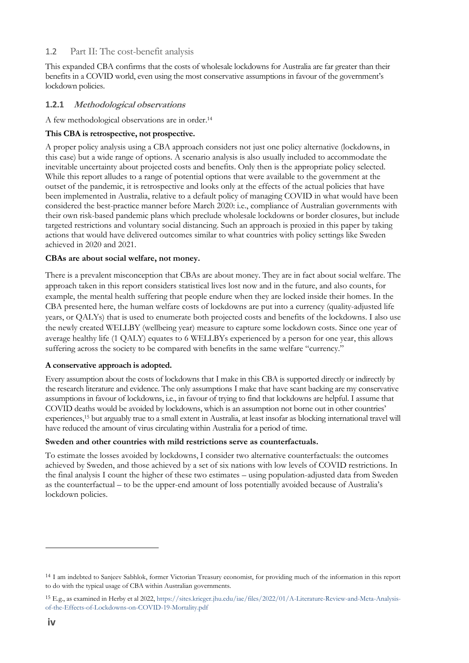# 1.2 Part II: The cost-benefit analysis

This expanded CBA confirms that the costs of wholesale lockdowns for Australia are far greater than their benefits in a COVID world, even using the most conservative assumptions in favour of the government's lockdown policies.

## **1.2.1 Methodological observations**

A few methodological observations are in order. 14

#### **This CBA is retrospective, not prospective.**

A proper policy analysis using a CBA approach considers not just one policy alternative (lockdowns, in this case) but a wide range of options. A scenario analysis is also usually included to accommodate the inevitable uncertainty about projected costs and benefits. Only then is the appropriate policy selected. While this report alludes to a range of potential options that were available to the government at the outset of the pandemic, it is retrospective and looks only at the effects of the actual policies that have been implemented in Australia, relative to a default policy of managing COVID in what would have been considered the best-practice manner before March 2020: i.e., compliance of Australian governments with their own risk-based pandemic plans which preclude wholesale lockdowns or border closures, but include targeted restrictions and voluntary social distancing. Such an approach is proxied in this paper by taking actions that would have delivered outcomes similar to what countries with policy settings like Sweden achieved in 2020 and 2021.

#### **CBAs are about social welfare, not money.**

There is a prevalent misconception that CBAs are about money. They are in fact about social welfare. The approach taken in this report considers statistical lives lost now and in the future, and also counts, for example, the mental health suffering that people endure when they are locked inside their homes. In the CBA presented here, the human welfare costs of lockdowns are put into a currency (quality-adjusted life years, or QALYs) that is used to enumerate both projected costs and benefits of the lockdowns. I also use the newly created WELLBY (wellbeing year) measure to capture some lockdown costs. Since one year of average healthy life (1 QALY) equates to 6 WELLBYs experienced by a person for one year, this allows suffering across the society to be compared with benefits in the same welfare "currency."

#### **A conservative approach is adopted.**

Every assumption about the costs of lockdowns that I make in this CBA is supported directly or indirectly by the research literature and evidence. The only assumptions I make that have scant backing are my conservative assumptions in favour of lockdowns, i.e., in favour of trying to find that lockdowns are helpful. I assume that COVID deaths would be avoided by lockdowns, which is an assumption not borne out in other countries' experiences, <sup>15</sup> but arguably true to a small extent in Australia, at least insofar as blocking international travel will have reduced the amount of virus circulating within Australia for a period of time.

#### **Sweden and other countries with mild restrictions serve as counterfactuals.**

To estimate the losses avoided by lockdowns, I consider two alternative counterfactuals: the outcomes achieved by Sweden, and those achieved by a set of six nations with low levels of COVID restrictions. In the final analysis I count the higher of these two estimates – using population-adjusted data from Sweden as the counterfactual – to be the upper-end amount of loss potentially avoided because of Australia's lockdown policies.

<sup>&</sup>lt;sup>14</sup> I am indebted to Sanjeev Sabhlok, former Victorian Treasury economist, for providing much of the information in this report to do with the typical usage of CBA within Australian governments.

<sup>15</sup> E.g., as examined in Herby et al 2022, [https://sites.krieger.jhu.edu/iae/files/2022/01/A-Literature-Review-and-Meta-Analysis](https://sites.krieger.jhu.edu/iae/files/2022/01/A-Literature-Review-and-Meta-Analysis-of-the-Effects-of-Lockdowns-on-COVID-19-Mortality.pdf)[of-the-Effects-of-Lockdowns-on-COVID-19-Mortality.pdf](https://sites.krieger.jhu.edu/iae/files/2022/01/A-Literature-Review-and-Meta-Analysis-of-the-Effects-of-Lockdowns-on-COVID-19-Mortality.pdf)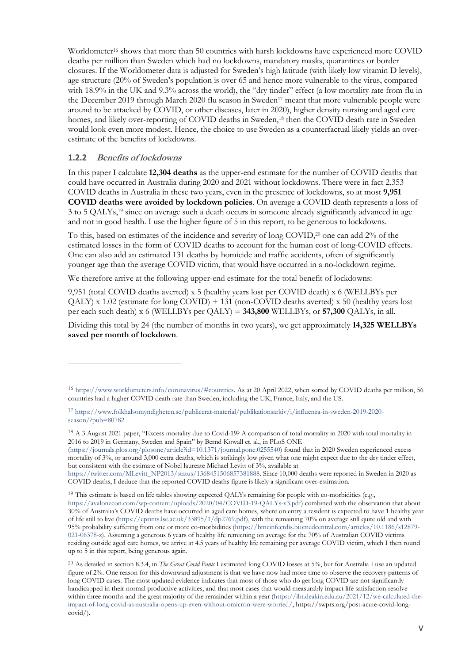Worldometer<sup>16</sup> shows that more than 50 countries with harsh lockdowns have experienced more COVID deaths per million than Sweden which had no lockdowns, mandatory masks, quarantines or border closures. If the Worldometer data is adjusted for Sweden's high latitude (with likely low vitamin D levels), age structure (20% of Sweden's population is over 65 and hence more vulnerable to the virus, compared with 18.9% in the UK and 9.3% across the world), the "dry tinder" effect (a low mortality rate from flu in the December 2019 through March 2020 flu season in Sweden<sup>17</sup> meant that more vulnerable people were around to be attacked by COVID, or other diseases, later in 2020), higher density nursing and aged care homes, and likely over-reporting of COVID deaths in Sweden,<sup>18</sup> then the COVID death rate in Sweden would look even more modest. Hence, the choice to use Sweden as a counterfactual likely yields an overestimate of the benefits of lockdowns.

#### **1.2.2 Benefits of lockdowns**

In this paper I calculate **12,304 deaths** as the upper-end estimate for the number of COVID deaths that could have occurred in Australia during 2020 and 2021 without lockdowns. There were in fact 2,353 COVID deaths in Australia in these two years, even in the presence of lockdowns, so at most **9,951 COVID deaths were avoided by lockdown policies**. On average a COVID death represents a loss of 3 to 5 QALYs,<sup>19</sup> since on average such a death occurs in someone already significantly advanced in age and not in good health. I use the higher figure of 5 in this report, to be generous to lockdowns.

To this, based on estimates of the incidence and severity of long COVID, <sup>20</sup> one can add 2% of the estimated losses in the form of COVID deaths to account for the human cost of long-COVID effects. One can also add an estimated 131 deaths by homicide and traffic accidents, often of significantly younger age than the average COVID victim, that would have occurred in a no-lockdown regime.

We therefore arrive at the following upper-end estimate for the total benefit of lockdowns:

9,951 (total COVID deaths averted) x 5 (healthy years lost per COVID death) x 6 (WELLBYs per  $QALY$ ) x 1.02 (estimate for long COVID) + 131 (non-COVID deaths averted) x 50 (healthy years lost per each such death) x 6 (WELLBYs per QALY) = **343,800** WELLBYs, or **57,300** QALYs, in all.

Dividing this total by 24 (the number of months in two years), we get approximately **14,325 WELLBYs saved per month of lockdown**.

[\(https://journals.plos.org/plosone/article?id=10.1371/journal.pone.0255540\)](https://journals.plos.org/plosone/article?id=10.1371/journal.pone.0255540) found that in 2020 Sweden experienced excess mortality of 3%, or around 3,000 extra deaths, which is strikingly low given what one might expect due to the dry tinder effect, but consistent with the estimate of Nobel laureate Michael Levitt of 3%, available at

[https://twitter.com/MLevitt\\_NP2013/status/1368451506857381888.](https://twitter.com/MLevitt_NP2013/status/1368451506857381888) Since 10,000 deaths were reported in Sweden in 2020 as COVID deaths, I deduce that the reported COVID deaths figure is likely a significant over-estimation.

<sup>19</sup> This estimate is based on life tables showing expected QALYs remaining for people with co-morbidities (e.g., [https://avalonecon.com/wp-content/uploads/2020/04/COVID-19-QALYs-v3.pdf\)](https://avalonecon.com/wp-content/uploads/2020/04/COVID-19-QALYs-v3.pdf) combined with the observation that about 30% of Australia's COVID deaths have occurred in aged care homes, where on entry a resident is expected to have 1 healthy year of life still to live [\(https://eprints.lse.ac.uk/33895/1/dp2769.pdf\),](https://eprints.lse.ac.uk/33895/1/dp2769.pdf) with the remaining 70% on average still quite old and with 95% probability suffering from one or more co-morbidities [\(https://bmcinfectdis.biomedcentral.com/articles/10.1186/s12879-](https://bmcinfectdis.biomedcentral.com/articles/10.1186/s12879-021-06378-z) [021-06378-z\)](https://bmcinfectdis.biomedcentral.com/articles/10.1186/s12879-021-06378-z). Assuming a generous 6 years of healthy life remaining on average for the 70% of Australian COVID victims residing outside aged care homes, we arrive at 4.5 years of healthy life remaining per average COVID victim, which I then round up to 5 in this report, being generous again.

<sup>16</sup> [https://www.worldometers.info/coronavirus/#countries.](https://www.worldometers.info/coronavirus/#countries) As at 20 April 2022, when sorted by COVID deaths per million, 56 countries had a higher COVID death rate than Sweden, including the UK, France, Italy, and the US.

<sup>17</sup> [https://www.folkhalsomyndigheten.se/publicerat-material/publikationsarkiv/i/influenza-in-sweden-2019-2020](https://www.folkhalsomyndigheten.se/publicerat-material/publikationsarkiv/i/influenza-in-sweden-2019-2020-season/?pub=80782) [season/?pub=80782](https://www.folkhalsomyndigheten.se/publicerat-material/publikationsarkiv/i/influenza-in-sweden-2019-2020-season/?pub=80782)

<sup>18</sup> A 3 August 2021 paper, "Excess mortality due to Covid-19? A comparison of total mortality in 2020 with total mortality in 2016 to 2019 in Germany, Sweden and Spain" by Bernd Kowall et. al., in PLoS ONE

<sup>20</sup> As detailed in section 8.3.4, in *The Great Covid Panic* I estimated long COVID losses at 5%, but for Australia I use an updated figure of 2%. One reason for this downward adjustment is that we have now had more time to observe the recovery patterns of long COVID cases. The most updated evidence indicates that most of those who do get long COVID are not significantly handicapped in their normal productive activities, and that most cases that would measurably impact life satisfaction resolve within three months and the great majority of the remainder within a year [\(https://iht.deakin.edu.au/2021/12/we-calculated-the](https://iht.deakin.edu.au/2021/12/we-calculated-the-impact-of-long-covid-as-australia-opens-up-even-without-omicron-were-worried/)[impact-of-long-covid-as-australia-opens-up-even-without-omicron-were-worried/,](https://iht.deakin.edu.au/2021/12/we-calculated-the-impact-of-long-covid-as-australia-opens-up-even-without-omicron-were-worried/) https://swprs.org/post-acute-covid-longcovid/).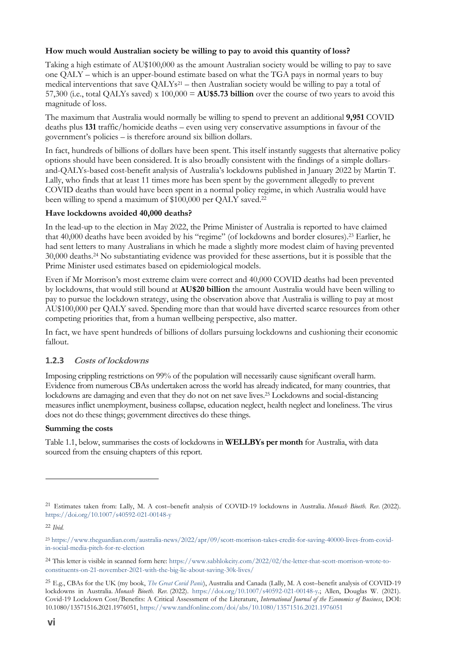#### **How much would Australian society be willing to pay to avoid this quantity of loss?**

Taking a high estimate of AU\$100,000 as the amount Australian society would be willing to pay to save one QALY – which is an upper-bound estimate based on what the TGA pays in normal years to buy medical interventions that save  $QALYs^{21}$  – then Australian society would be willing to pay a total of 57,300 (i.e., total QALYs saved) x 100,000 = **AU\$5.73 billion** over the course of two years to avoid this magnitude of loss.

The maximum that Australia would normally be willing to spend to prevent an additional **9,951** COVID deaths plus **131** traffic/homicide deaths – even using very conservative assumptions in favour of the government's policies – is therefore around six billion dollars.

In fact, hundreds of billions of dollars have been spent. This itself instantly suggests that alternative policy options should have been considered. It is also broadly consistent with the findings of a simple dollarsand-QALYs-based cost-benefit analysis of Australia's lockdowns published in January 2022 by Martin T. Lally, who finds that at least 11 times more has been spent by the government allegedly to prevent COVID deaths than would have been spent in a normal policy regime, in which Australia would have been willing to spend a maximum of \$100,000 per QALY saved. 22

#### **Have lockdowns avoided 40,000 deaths?**

In the lead-up to the election in May 2022, the Prime Minister of Australia is reported to have claimed that 40,000 deaths have been avoided by his "regime" (of lockdowns and border closures).<sup>23</sup> Earlier, he had sent letters to many Australians in which he made a slightly more modest claim of having prevented 30,000 deaths.<sup>24</sup> No substantiating evidence was provided for these assertions, but it is possible that the Prime Minister used estimates based on epidemiological models.

Even if Mr Morrison's most extreme claim were correct and 40,000 COVID deaths had been prevented by lockdowns, that would still bound at **AU\$20 billion** the amount Australia would have been willing to pay to pursue the lockdown strategy, using the observation above that Australia is willing to pay at most AU\$100,000 per QALY saved. Spending more than that would have diverted scarce resources from other competing priorities that, from a human wellbeing perspective, also matter.

In fact, we have spent hundreds of billions of dollars pursuing lockdowns and cushioning their economic fallout.

#### **1.2.3 Costs of lockdowns**

Imposing crippling restrictions on 99% of the population will necessarily cause significant overall harm. Evidence from numerous CBAs undertaken across the world has already indicated, for many countries, that lockdowns are damaging and even that they do not on net save lives.<sup>25</sup> Lockdowns and social-distancing measures inflict unemployment, business collapse, education neglect, health neglect and loneliness. The virus does not do these things; government directives do these things.

#### **Summing the costs**

Table 1.1, below, summarises the costs of lockdowns in **WELLBYs per month** for Australia, with data sourced from the ensuing chapters of this report.

<sup>21</sup> Estimates taken from: Lally, M. A cost–benefit analysis of COVID-19 lockdowns in Australia. *Monash Bioeth. Rev.* (2022). <https://doi.org/10.1007/s40592-021-00148-y>

<sup>22</sup> *Ibid.*

<sup>23</sup> [https://www.theguardian.com/australia-news/2022/apr/09/scott-morrison-takes-credit-for-saving-40000-lives-from-covid](https://www.theguardian.com/australia-news/2022/apr/09/scott-morrison-takes-credit-for-saving-40000-lives-from-covid-in-social-media-pitch-for-re-election)[in-social-media-pitch-for-re-election](https://www.theguardian.com/australia-news/2022/apr/09/scott-morrison-takes-credit-for-saving-40000-lives-from-covid-in-social-media-pitch-for-re-election)

<sup>24</sup> This letter is visible in scanned form here: [https://www.sabhlokcity.com/2022/02/the-letter-that-scott-morrison-wrote-to](https://www.sabhlokcity.com/2022/02/the-letter-that-scott-morrison-wrote-to-constituents-on-21-november-2021-with-the-big-lie-about-saving-30k-lives/)[constituents-on-21-november-2021-with-the-big-lie-about-saving-30k-lives/](https://www.sabhlokcity.com/2022/02/the-letter-that-scott-morrison-wrote-to-constituents-on-21-november-2021-with-the-big-lie-about-saving-30k-lives/)

<sup>25</sup> E.g., CBAs for the UK (my book, *[The Great Covid Panic](https://www.thegreatcovidpanic.com/)*), Australia and Canada (Lally, M. A cost–benefit analysis of COVID-19 lockdowns in Australia. *Monash Bioeth. Rev.* (2022). [https://doi.org/10.1007/s40592-021-00148-y.;](https://doi.org/10.1007/s40592-021-00148-y) Allen, Douglas W. (2021). Covid-19 Lockdown Cost/Benefits: A Critical Assessment of the Literature, *International Journal of the Economics of Business*, DOI: 10.1080/13571516.2021.1976051, <https://www.tandfonline.com/doi/abs/10.1080/13571516.2021.1976051>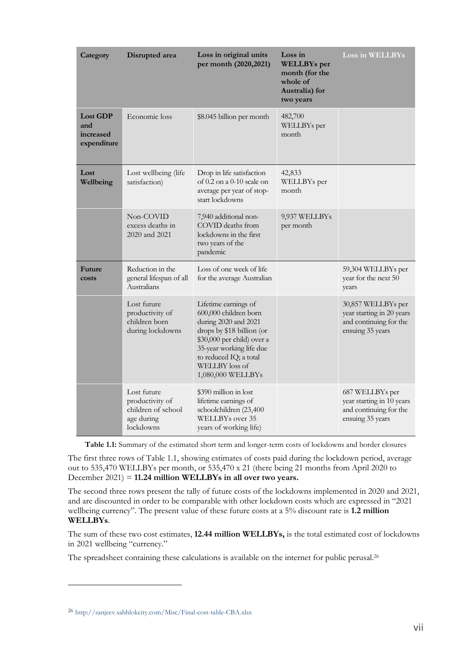| Category                                           | Disrupted area                                                                  | Loss in original units<br>per month (2020, 2021)                                                                                                                                                                              | Loss in<br><b>WELLBYs</b> per<br>month (for the<br>whole of<br>Australia) for<br>two years | Loss in WELLBYs                                                                               |
|----------------------------------------------------|---------------------------------------------------------------------------------|-------------------------------------------------------------------------------------------------------------------------------------------------------------------------------------------------------------------------------|--------------------------------------------------------------------------------------------|-----------------------------------------------------------------------------------------------|
| <b>Lost GDP</b><br>and<br>increased<br>expenditure | Economic loss                                                                   | \$8.045 billion per month                                                                                                                                                                                                     | 482,700<br>WELLBYs per<br>month                                                            |                                                                                               |
| Lost<br>Wellbeing                                  | Lost wellbeing (life<br>satisfaction)                                           | Drop in life satisfaction<br>of $0.2$ on a $0-10$ scale on<br>average per year of stop-<br>start lockdowns                                                                                                                    | 42,833<br>WELLBYs per<br>month                                                             |                                                                                               |
|                                                    | Non-COVID<br>excess deaths in<br>2020 and 2021                                  | 7,940 additional non-<br>COVID deaths from<br>lockdowns in the first<br>two years of the<br>pandemic                                                                                                                          | 9,937 WELLBYs<br>per month                                                                 |                                                                                               |
| <b>Future</b><br>costs                             | Reduction in the<br>general lifespan of all<br>Australians                      | Loss of one week of life<br>for the average Australian                                                                                                                                                                        |                                                                                            | 59,304 WELLBYs per<br>year for the next 50<br>years                                           |
|                                                    | Lost future<br>productivity of<br>children born<br>during lockdowns             | Lifetime earnings of<br>600,000 children born<br>during 2020 and 2021<br>drops by \$18 billion (or<br>\$30,000 per child) over a<br>35-year working life due<br>to reduced IQ; a total<br>WELLBY loss of<br>1,080,000 WELLBYs |                                                                                            | 30,857 WELLBYs per<br>year starting in 20 years<br>and continuing for the<br>ensuing 35 years |
|                                                    | Lost future<br>productivity of<br>children of school<br>age during<br>lockdowns | \$390 million in lost<br>lifetime earnings of<br>schoolchildren (23,400<br>WELLBYs over 35<br>years of working life)                                                                                                          |                                                                                            | 687 WELLBYs per<br>year starting in 10 years<br>and continuing for the<br>ensuing 35 years    |

**Table 1.1:** Summary of the estimated short term and longer-term costs of lockdowns and border closures

The first three rows of Table 1.1, showing estimates of costs paid during the lockdown period, average out to 535,470 WELLBYs per month, or 535,470 x 21 (there being 21 months from April 2020 to December 2021) = **11.24 million WELLBYs in all over two years.**

The second three rows present the tally of future costs of the lockdowns implemented in 2020 and 2021, and are discounted in order to be comparable with other lockdown costs which are expressed in "2021 wellbeing currency". The present value of these future costs at a 5% discount rate is **1.2 million WELLBYs**.

The sum of these two cost estimates, **12.44 million WELLBYs,** is the total estimated cost of lockdowns in 2021 wellbeing "currency."

The spreadsheet containing these calculations is available on the internet for public perusal.<sup>26</sup>

<sup>26</sup> <http://sanjeev.sabhlokcity.com/Misc/Final-cost-table-CBA.xlsx>